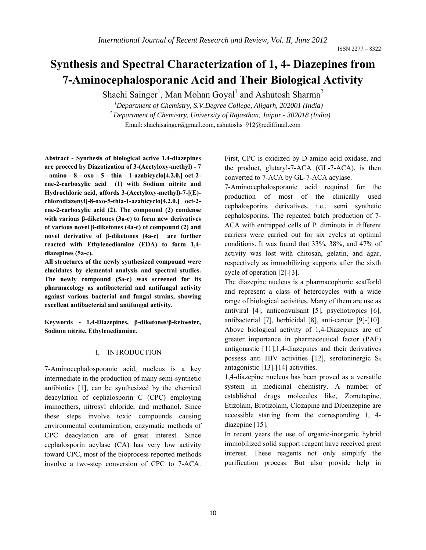# **Synthesis and Spectral Characterization of 1, 4- Diazepines from 7-Aminocephalosporanic Acid and Their Biological Activity**

Shachi Sainger<sup>1</sup>, Man Mohan Goyal<sup>1</sup> and Ashutosh Sharma<sup>2</sup>

*1 Department of Chemistry, S.V.Degree College, Aligarh, 202001 (India) <sup>2</sup> Department of Chemistry, University of Rajasthan, Jaipur - 302018 (India)*  Email: shachisainger@gmail.com, ashutoshs\_912@rediffmail.com

**Abstract - Synthesis of biological active 1,4-diazepines are proceed by Diazotization of 3-(Acetyloxy-methyl) - 7 - amino - 8 - oxo - 5 - thia - 1-azabicyclo[4.2.0.] oct-2 ene-2-carboxylic acid (1) with Sodium nitrite and Hydrochloric acid, affords 3-(Acetyloxy-methyl)-7-[(E) chlorodiazenyl]-8-oxo-5-thia-1-azabicyclo[4.2.0.] oct-2 ene-2-carboxylic acid (2). The compound (2) condense with various β-diketones (3a-c) to form new derivatives of various novel β-diketones (4a-c) of compound (2) and novel derivative of β-diketones (4a-c) are further reacted with Ethylenediamine (EDA) to form 1,4 diazepines (5a-c).** 

**All structures of the newly synthesized compound were elucidates by elemental analysis and spectral studies. The newly compound (5a-c) was screened for its pharmacology as antibacterial and antifungal activity against various bacterial and fungal strains, showing excellent antibacterial and antifungal activity.** 

**Keywords - 1,4-Diazepines, β-diketones/β-ketoester, Sodium nitrite, Ethylenediamine.** 

#### I. INTRODUCTION

7-Aminocephalosporanic acid, nucleus is a key intermediate in the production of many semi-synthetic antibiotics [1], can be synthesized by the chemical deacylation of cephalosporin C (CPC) employing iminoethers, nitrosyl chloride, and methanol. Since these steps involve toxic compounds causing environmental contamination, enzymatic methods of CPC deacylation are of great interest. Since cephalosporin acylase (CA) has very low activity toward CPC, most of the bioprocess reported methods involve a two-step conversion of CPC to 7-ACA.

First, CPC is oxidized by D-amino acid oxidase, and the product, glutaryl-7-ACA (GL-7-ACA), is then converted to 7-ACA by GL-7-ACA acylase.

7-Aminocephalosporanic acid required for the production of most of the clinically used cephalosporins derivatives, i.e., semi synthetic cephalosporins. The repeated batch production of 7- ACA with entrapped cells of P. diminuta in different carriers were carried out for six cycles at optimal conditions. It was found that 33%, 38%, and 47% of activity was lost with chitosan, gelatin, and agar, respectively as immobilizing supports after the sixth cycle of operation [2]-[3].

The diazepine nucleus is a pharmacophoric scafforld and represent a class of heterocycles with a wide range of biological activities. Many of them are use as antiviral [4], anticonvulsant [5], psychotropics [6], antibacterial [7], herbicidal [8], anti-cancer [9]-[10]. Above biological activity of 1,4-Diazepines are of greater importance in pharmaceutical factor (PAF) antigonastic [11],1,4-diazepines and their derivatives possess anti HIV activities  $[12]$ , serotoninergic S<sub>3</sub> antagonistic [13]-[14] activities.

1,4-diazepine nucleus has been proved as a versatile system in medicinal chemistry. A number of established drugs molecules like, Zometapine, Etizolam, Brotizolam, Clozapine and Dibenzepine are accessible starting from the corresponding 1, 4 diazepine [15].

In recent years the use of organic-inorganic hybrid immobilized solid support reagent have received great interest. These reagents not only simplify the purification process. But also provide help in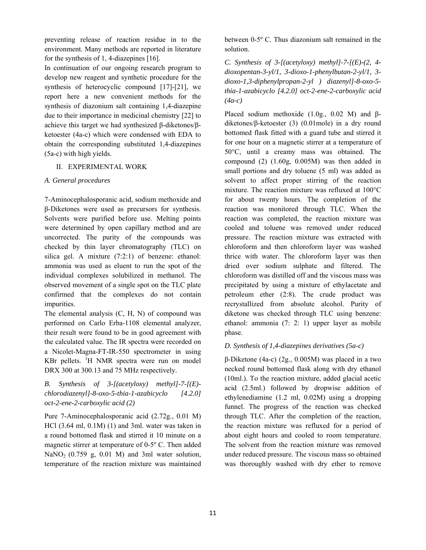preventing release of reaction residue in to the environment. Many methods are reported in literature for the synthesis of 1, 4-diazepines [16].

In continuation of our ongoing research program to develop new reagent and synthetic procedure for the synthesis of heterocyclic compound [17]-[21], we report here a new convenient methods for the synthesis of diazonium salt containing 1,4-diazepine due to their importance in medicinal chemistry [22] to achieve this target we had synthesized β-diketones/βketoester (4a-c) which were condensed with EDA to obtain the corresponding substituted 1,4-diazepines (5a-c) with high yields.

## II. EXPERIMENTAL WORK

## *A. General procedures*

7-Aminocephalosporanic acid, sodium methoxide and β-Diketones were used as precursors for synthesis. Solvents were purified before use. Melting points were determined by open capillary method and are uncorrected. The purity of the compounds was checked by thin layer chromatography (TLC) on silica gel. A mixture (7:2:1) of benzene: ethanol: ammonia was used as eluent to run the spot of the individual complexes solubilized in methanol. The observed movement of a single spot on the TLC plate confirmed that the complexes do not contain impurities.

The elemental analysis (C, H, N) of compound was performed on Carlo Erba-1108 elemental analyzer, their result were found to be in good agreement with the calculated value. The IR spectra were recorded on a Nicolet-Magna-FT-IR-550 spectrometer in using KBr pellets. <sup>1</sup>H NMR spectra were run on model DRX 300 at 300.13 and 75 MHz respectively.

# *B. Synthesis of 3-[(acetyloxy) methyl]-7-[(E) chlorodiazenyl]-8-oxo-5-thia-1-azabicyclo [4.2.0] oct-2-ene-2-carboxylic acid (2)*

Pure 7-Aminocephalosporanic acid (2.72g., 0.01 M) HCl (3.64 ml, 0.1M) (1) and 3ml. water was taken in a round bottomed flask and stirred it 10 minute on a magnetic stirrer at temperature of 0-5º C. Then added NaNO<sub>2</sub> (0.759 g, 0.01 M) and 3ml water solution, temperature of the reaction mixture was maintained between 0-5º C. Thus diazonium salt remained in the solution.

*C. Synthesis of 3-[(acetyloxy) methyl]-7-[(E)-(2, 4 dioxopentan-3-yl/1, 3-dioxo-1-phenylbutan-2-yl/1, 3 dioxo-1,3-diphenylpropan-2-yl ) diazenyl]-8-oxo-5 thia-1-azabicyclo [4.2.0] oct-2-ene-2-carboxylic acid (4a-c)* 

Placed sodium methoxide (1.0g., 0.02 M) and βdiketones/β-ketoester (3) (0.01mole) in a dry round bottomed flask fitted with a guard tube and stirred it for one hour on a magnetic stirrer at a temperature of 50°C, until a creamy mass was obtained. The compound (2) (1.60g, 0.005M) was then added in small portions and dry toluene (5 ml) was added as solvent to affect proper stirring of the reaction mixture. The reaction mixture was refluxed at 100°C for about twenty hours. The completion of the reaction was monitored through TLC. When the reaction was completed, the reaction mixture was cooled and toluene was removed under reduced pressure. The reaction mixture was extracted with chloroform and then chloroform layer was washed thrice with water. The chloroform layer was then dried over sodium sulphate and filtered. The chloroform was distilled off and the viscous mass was precipitated by using a mixture of ethylacetate and petroleum ether (2:8). The crude product was recrystallized from absolute alcohol. Purity of diketone was checked through TLC using benzene: ethanol: ammonia (7: 2: 1) upper layer as mobile phase.

## *D. Synthesis of 1,4-diazepines derivatives (5a-c)*

β-Diketone (4a-c) (2g., 0.005M) was placed in a two necked round bottomed flask along with dry ethanol (10ml.). To the reaction mixture, added glacial acetic acid (2.5ml.) followed by dropwise addition of ethylenediamine (1.2 ml, 0.02M) using a dropping funnel. The progress of the reaction was checked through TLC. After the completion of the reaction, the reaction mixture was refluxed for a period of about eight hours and cooled to room temperature. The solvent from the reaction mixture was removed under reduced pressure. The viscous mass so obtained was thoroughly washed with dry ether to remove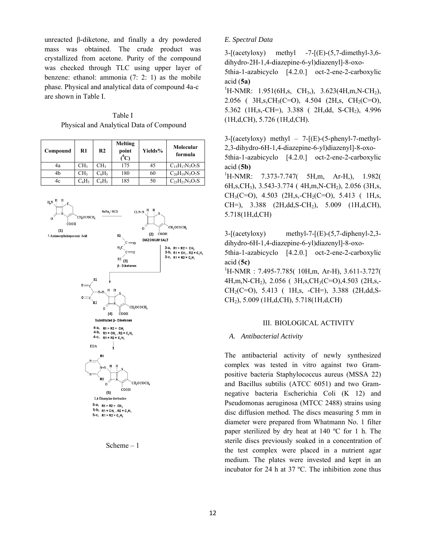unreacted β-diketone, and finally a dry powdered mass was obtained. The crude product was crystallized from acetone. Purity of the compound was checked through TLC using upper layer of benzene: ethanol: ammonia (7: 2: 1) as the mobile phase. Physical and analytical data of compound 4a-c are shown in Table I.

Table I Physical and Analytical Data of Compound

| Compound | R1              | R <sub>2</sub>   | <b>Melting</b><br>point<br>$\rm ^{0}C$ | Yields% | Molecular<br>formula      |
|----------|-----------------|------------------|----------------------------------------|---------|---------------------------|
| 4a       | CH <sub>3</sub> | CH <sub>3</sub>  | 175                                    | 45      | $C_{15}H_{17}N_3O_7S$     |
| 4b       | CH <sub>3</sub> | $C_6H_5$         | 180                                    | 60      | $C_{20}H_{19}N_3O_7S$     |
| 4c       | $C_6H_5$        | $\rm ^{2}6H_{5}$ | 185                                    | 50      | $C_{25}H_{21}N_{3}O_{7}S$ |



Scheme – 1

## *E. Spectral Data*

 $3-\left[\frac{\text{acetyloxy}}{\text{methyl}}\right]$  -7- $\left[\frac{\text{E}}{\text{C}}\right]$ -(5,7-dimethyl-3,6dihydro-2H-1,4-diazepine-6-yl)diazenyl]-8-oxo-

5thia-1-azabicyclo [4.2.0.] oct-2-ene-2-carboxylic acid (**5a)**

<sup>1</sup>H-NMR: 1.951(6H,s, CH<sub>3</sub>,), 3.623(4H,m,N-CH<sub>2</sub>), 2.056 (  $3H_{1}S, CH_3(C=O)$ , 4.504 (2H, s, CH<sub>2</sub>(C=O), 5.362 (1H,s,-CH=), 3.388 ( 2H,dd, S-CH2), 4.996 (1H,d,CH), 5.726 (1H,d,CH).

 $3-[(\text{acetyloxy}) \text{ methyl} - 7-[(\text{E})-(5-\text{phenyl-7-methyl} -$ 2,3-dihydro-6H-1,4-diazepine-6-yl)diazenyl]-8-oxo-5thia-1-azabicyclo [4.2.0.] oct-2-ene-2-carboxylic acid (**5b)** 

 $\mathrm{^1H\text{-}NMR}$ : 7.373-7.747( 5H,m, Ar-H,), 1.982( 6H,s,CH3), 3.543-3.774 ( 4H,m,N-CH2), 2.056 (3H,s,  $CH<sub>3</sub>(C=O)$ , 4.503 (2H,s,-CH<sub>2</sub>(C=O), 5.413 ( 1H,s, CH=), 3.388 (2H,dd, S-CH<sub>2</sub>), 5.009 (1H,d, CH), 5.718(1H,d,CH)

3-[(acetyloxy) methyl-7-[(E)-(5,7-diphenyl-2,3 dihydro-6H-1,4-diazepine-6-yl)diazenyl]-8-oxo-5thia-1-azabicyclo [4.2.0.] oct-2-ene-2-carboxylic acid (**5c)**

1 H-NMR : 7.495-7.785( 10H,m, Ar-H), 3.611-3.727( 4H,m,N-CH2), 2.056 ( 3H,s,CH3(C=O),4.503 (2H,s,- CH2(C=O), 5.413 ( 1H,s, -CH=), 3.388 (2H,dd,S-CH2), 5.009 (1H,d,CH), 5.718(1H,d,CH)

### III. BIOLOGICAL ACTIVITY

## *A. Antibacterial Activity*

The antibacterial activity of newly synthesized complex was tested in vitro against two Grampositive bacteria Staphylococcus aureus (MSSA 22) and Bacillus subtilis (ATCC 6051) and two Gramnegative bacteria Escherichia Coli (K 12) and Pseudomonas aeruginosa (MTCC 2488) strains using disc diffusion method. The discs measuring 5 mm in diameter were prepared from Whatmann No. 1 filter paper sterilized by dry heat at 140 ºC for 1 h. The sterile discs previously soaked in a concentration of the test complex were placed in a nutrient agar medium. The plates were invested and kept in an incubator for 24 h at 37 ºC. The inhibition zone thus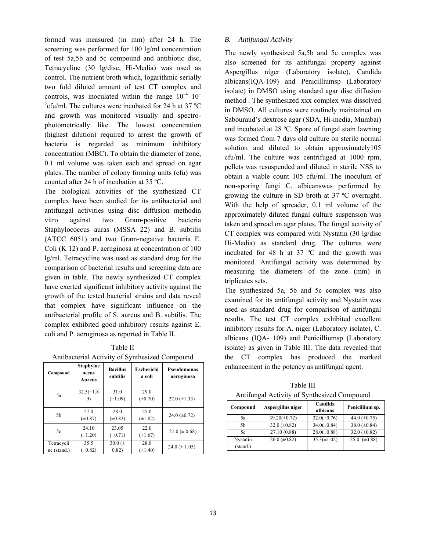formed was measured (in mm) after 24 h. The screening was performed for 100 lg/ml concentration of test 5a,5b and 5c compound and antibiotic disc, Tetracycline (30 lg/disc, Hi-Media) was used as control. The nutrient broth which, logarithmic serially two fold diluted amount of test CT complex and controls, was inoculated within the range  $10^{-4}$ – $10^{-7}$  $5$ cfu/ml. The cultures were incubated for 24 h at 37 °C and growth was monitored visually and spectrophotometrically like. The lowest concentration (highest dilution) required to arrest the growth of bacteria is regarded as minimum inhibitory concentration (MBC). To obtain the diameter of zone, 0.1 ml volume was taken each and spread on agar plates. The number of colony forming units (cfu) was counted after 24 h of incubation at 35 ºC.

The biological activities of the synthesized CT complex have been studied for its antibacterial and antifungal activities using disc diffusion methodin vitro against two Gram-positive bacteria Staphylococcus auras (MSSA 22) and B. subtilis (ATCC 6051) and two Gram-negative bacteria E. Coli (K 12) and P. aeruginosa at concentration of 100 lg/ml. Tetracycline was used as standard drug for the comparison of bacterial results and screening data are given in table. The newly synthesized CT complex have exerted significant inhibitory activity against the growth of the tested bacterial strains and data reveal that complex have significant influence on the antibacterial profile of S. aureus and B. subtilis. The complex exhibited good inhibitory results against E. coli and P. aeruginosa as reported in Table II.

Table II Antibacterial Activity of Synthesized Compound

| Compound                  | <b>Staphyloc</b><br>occus<br>Aureus | <b>Bacillus</b><br>subtilis | Escherichi<br>a coli | Pseudomonas<br>aeruginosa |
|---------------------------|-------------------------------------|-----------------------------|----------------------|---------------------------|
| 5a                        | $32.5(\pm 1.8)$<br>9)               | 31.0<br>$(\pm 1.09)$        | 29.0<br>$(\pm 0.70)$ | $27.0 \ (\pm 1.33)$       |
| 5b                        | 27.0<br>$(\pm 0.87)$                | 28.0<br>$(\pm 0.82)$        | 25.0<br>$(\pm 1.02)$ | 24.0 $(\pm 0.72)$         |
| 5c                        | 24.10<br>$(\pm 1.20)$               | 23.05<br>$(\pm 0.71)$       | 22.0<br>$(\pm 1.67)$ | $21.0 \ (\pm 0.68)$       |
| Tetracycli<br>ne (stand.) | 35.5<br>$(\pm 0.82)$                | 30.0 $(\pm$<br>0.82)        | 28.0<br>$(\pm 1.40)$ | $24.0 \ (\pm 1.05)$       |

## *B. Antifungal Activity*

The newly synthesized 5a,5b and 5c complex was also screened for its antifungal property against Aspergillus niger (Laboratory isolate), Candida albicans(IQA-109) and Penicilliumsp (Laboratory isolate) in DMSO using standard agar disc diffusion method . The synthesized xxx complex was dissolved in DMSO. All cultures were routinely maintained on Sabouraud's dextrose agar (SDA, Hi-media, Mumbai) and incubated at 28 ºC. Spore of fungal stain lawning was formed from 7 days old culture on sterile normal solution and diluted to obtain approximately105 cfu/ml. The culture was centrifuged at 1000 rpm, pellets was resuspended and diluted in sterile NSS to obtain a viable count 105 cfu/ml. The inoculum of non-sporing fungi C. albicanswas performed by growing the culture in SD broth at 37 ºC overnight. With the help of spreader, 0.1 ml volume of the approximately diluted fungal culture suspension was taken and spread on agar plates. The fungal activity of CT complex was compared with Nystatin (30 lg/disc Hi-Media) as standard drug. The cultures were incubated for 48 h at 37 ºC and the growth was monitored. Antifungal activity was determined by measuring the diameters of the zone (mm) in triplicates sets.

The synthesized 5a, 5b and 5c complex was also examined for its antifungal activity and Nystatin was used as standard drug for comparison of antifungal results. The test CT complex exhibited excellent inhibitory results for A. niger (Laboratory isolate), C. albicans (IQA- 109) and Penicilliumsp (Laboratory isolate) as given in Table III. The data revealed that the CT complex has produced the marked enhancement in the potency as antifungal agent.

Table III Antifungal Activity of Synthesized Compound

| Compound             | Aspergillus niger   | Candida<br>albicans | Penicillium sp.     |
|----------------------|---------------------|---------------------|---------------------|
| 5a                   | $39.20(\pm 0.72)$   | $32.0(\pm 0.76)$    | 44.0 $(\pm 0.75)$   |
| .5 <sub>h</sub>      | 32.0 $(\pm 0.82)$   | $34.0(\pm 0.84)$    | 38.0 $(\pm 0.84)$   |
| 5c                   | 27.10 (0.88)        | $28.0(\pm 0.88)$    | 32.0 $(\pm 0.82)$   |
| Nystatin<br>(stand.) | $26.0 \ (\pm 0.82)$ | $35.3(\pm 1.02)$    | $25.0 \ (\pm 0.88)$ |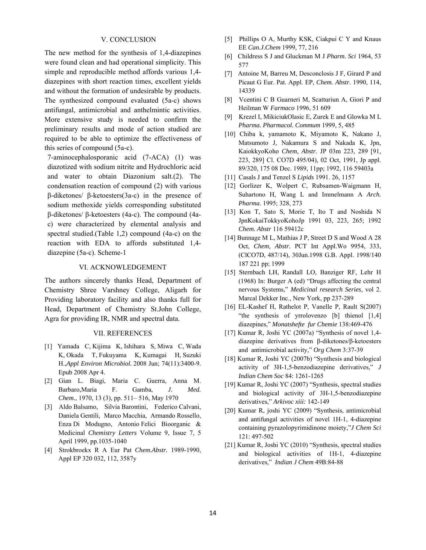## V. CONCLUSION

The new method for the synthesis of 1,4-diazepines were found clean and had operational simplicity. This simple and reproducible method affords various 1,4 diazepines with short reaction times, excellent yields and without the formation of undesirable by products. The synthesized compound evaluated (5a-c) shows antifungal, antimicrobial and anthelmintic activities. More extensive study is needed to confirm the preliminary results and mode of action studied are required to be able to optimize the effectiveness of this series of compound (5a-c).

7-aminocephalosporanic acid (7-ACA) (1) was diazotized with sodium nitrite and Hydrochloric acid and water to obtain Diazonium salt.(2). The condensation reaction of compound (2) with various β-diketones/ β-ketoesters(3a-c) in the presence of sodium methoxide yields corresponding substituted β-diketones/ β-ketoesters (4a-c). The compound (4ac) were characterized by elemental analysis and spectral studied.(Table 1,2) compound (4a-c) on the reaction with EDA to affords substituted 1,4 diazepine (5a-c). Scheme-1

#### VI. ACKNOWLEDGEMENT

The authors sincerely thanks Head, Department of Chemistry Shree Varshney College, Aligarh for Providing laboratory facility and also thanks full for Head, Department of Chemistry St.John College, Agra for providing IR, NMR and spectral data.

#### VII. REFERENCES

- [1] Yamada C, Kijima K, Ishihara S, Miwa C, Wada K, Okada T, Fukuyama K, Kumagai H, Suzuki H.,*Appl Environ Microbiol.* 2008 Jun; 74(11):3400-9. Epub 2008 Apr 4.
- [2] Gian L. Biagi, Maria C. Guerra, Anna M. Barbaro,Maria F. Gamba, *J. Med. Chem.*, 1970, 13 (3), pp. 511– 516, May 1970
- [3] Aldo Balsamo, Silvia Barontini, Federico Calvani, Daniela Gentili, Marco Macchia, Armando Rossello, Enza Di Modugno, Antonio Felici Bioorganic & Medicinal *Chemistry Letters* Volume 9, Issue 7, 5 April 1999, pp.1035-1040
- [4] Strokbroekx R A Eur Pat *Chem.Abstr.* 1989-1990, Appl EP 320 032, 112, 3587y
- [5] Phillips O A, Murthy KSK, Ciakpui C Y and Knaus EE *Can.J.Chem* 1999, 77, 216
- [6] Childress S J and Gluckman M J *Pharm. Sci* 1964, 53 577
- [7] Antoine M, Barreu M, Desconclosis J F, Girard P and Picaut G Eur. Pat. Appl. EP, *Chem. Abstr.* 1990, 114, 14339
- [8] Vcentini C B Guarneri M, Scatturiun A, Giori P and Heilman W *Farmaco* 1996, 51 609
- [9] Krezel I, MikiciukOlasic E, Zurek E and Glowka M L *Pharma. Pharmacol. Commum* 1999, 5, 485
- [10] Chiba k, yamamoto K, Miyamoto K, Nakano J, Matsumoto J, Nakamura S and Nakada K, Jpn, KaiokkyoKoho *Chem, Abstr.* JP 03m 223, 289 [91, 223, 289] Cl. CO7D 495/04), 02 Oct, 1991, Jp appl. 89/320, 175 08 Dec. 1989, 11pp; 1992, 116 59403a
- [11] Casals J and Tenzel S *Lipids* 1991. 26, 1157
- [12] Gorlizer K, Wolpert C, Rubsamen-Waigmann H, Suhartono H, Wang L and Immelmann A *Arch. Pharma.* 1995; 328, 273
- [13] Kon T, Sato S, Morie T, Ito T and Noshida N JpnKokaiTokkyoKohoJp 1991 03, 223, 265; 1992 *Chem. Abstr* 116 59412c
- [14] Bunnage M L, Mathias J P, Street D S and Wood A 28 Oct, *Chem, Abstr.* PCT Int Appl.Wo 9954, 333, (ClCO7D, 487/14), 30Jun.1998 G.B. Appl. 1998/140 187 221 pp; 1999
- [15] Sternbach LH, Randall LO, Banziger RF, Lehr H (1968) In: Burger A (ed) "Drugs affecting the central nervous Systems," *Medicinal research Series*, vol 2. Marcal Dekker Inc., New York, pp 237-289
- [16] EL-Kashef H, Rathelot P, Vanelle P, Rault S(2007) "the synthesis of yrrolovenzo [b] thienol [1,4] diazepines," *Monatshefte fur Chemie* 138:469-476
- [17] Kumar R, Joshi YC (2007a) "Synthesis of novel 1,4 diazepine derivatives from β-diketones/β-ketoesters and antimicrobial activity," *Org Chem* 3:37-39
- [18] Kumar R, Joshi YC (2007b) "Synthesis and biological activity of 3H-1,5-benzodiazepine derivatives," *J Indian Chem Soc* 84: 1261-1265
- [19] Kumar R, Joshi YC (2007) "Synthesis, spectral studies and biological activity of 3H-1,5-benzodiazepine derivatives," *Arkivoc xiii:* 142-149
- [20] Kumar R, joshi YC (2009) "Synthesis, antimicrobial and antifungal activities of novel 1H-1, 4-diazepine containing pyrazolopyrimidinone moiety,"*J Chem Sci* 121: 497-502
- [21] Kumar R, Joshi YC (2010) "Synthesis, spectral studies and biological activities of 1H-1, 4-diazepine derivatives," *Indian J Chem* 49B:84-88